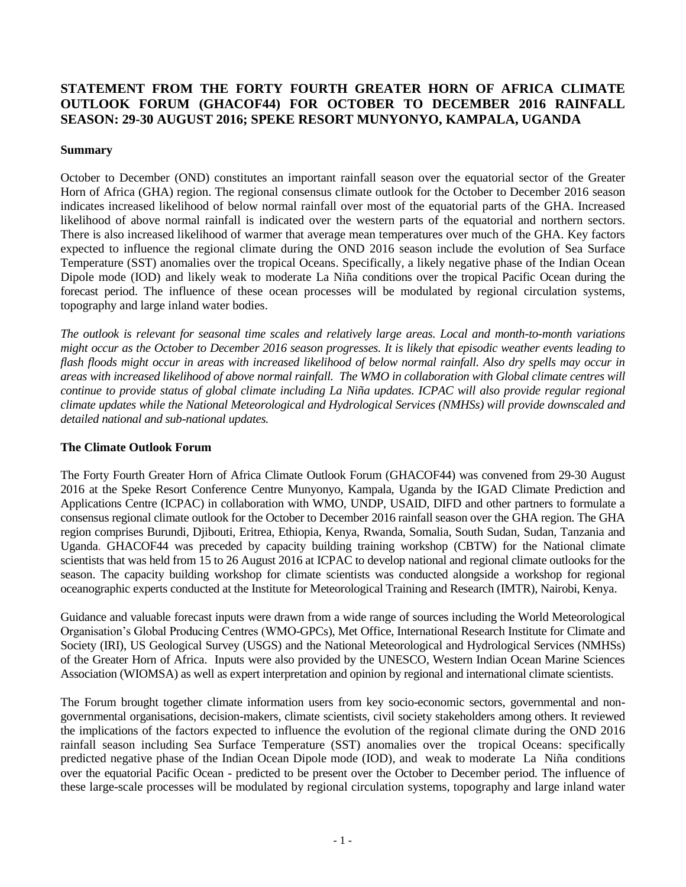# **STATEMENT FROM THE FORTY FOURTH GREATER HORN OF AFRICA CLIMATE OUTLOOK FORUM (GHACOF44) FOR OCTOBER TO DECEMBER 2016 RAINFALL SEASON: 29-30 AUGUST 2016; SPEKE RESORT MUNYONYO, KAMPALA, UGANDA**

## **Summary**

October to December (OND) constitutes an important rainfall season over the equatorial sector of the Greater Horn of Africa (GHA) region. The regional consensus climate outlook for the October to December 2016 season indicates increased likelihood of below normal rainfall over most of the equatorial parts of the GHA. Increased likelihood of above normal rainfall is indicated over the western parts of the equatorial and northern sectors. There is also increased likelihood of warmer that average mean temperatures over much of the GHA. Key factors expected to influence the regional climate during the OND 2016 season include the evolution of Sea Surface Temperature (SST) anomalies over the tropical Oceans. Specifically, a likely negative phase of the Indian Ocean Dipole mode (IOD) and likely weak to moderate La Niña conditions over the tropical Pacific Ocean during the forecast period. The influence of these ocean processes will be modulated by regional circulation systems, topography and large inland water bodies.

*The outlook is relevant for seasonal time scales and relatively large areas. Local and month-to-month variations might occur as the October to December 2016 season progresses. It is likely that episodic weather events leading to flash floods might occur in areas with increased likelihood of below normal rainfall. Also dry spells may occur in areas with increased likelihood of above normal rainfall. The WMO in collaboration with Global climate centres will continue to provide status of global climate including La Niña updates. ICPAC will also provide regular regional climate updates while the National Meteorological and Hydrological Services (NMHSs) will provide downscaled and detailed national and sub-national updates.*

#### **The Climate Outlook Forum**

The Forty Fourth Greater Horn of Africa Climate Outlook Forum (GHACOF44) was convened from 29-30 August 2016 at the Speke Resort Conference Centre Munyonyo, Kampala, Uganda by the IGAD Climate Prediction and Applications Centre (ICPAC) in collaboration with WMO, UNDP, USAID, DIFD and other partners to formulate a consensus regional climate outlook for the October to December 2016 rainfall season over the GHA region. The GHA region comprises Burundi, Djibouti, Eritrea, Ethiopia, Kenya, Rwanda, Somalia, South Sudan, Sudan, Tanzania and Uganda. GHACOF44 was preceded by capacity building training workshop (CBTW) for the National climate scientists that was held from 15 to 26 August 2016 at ICPAC to develop national and regional climate outlooks for the season. The capacity building workshop for climate scientists was conducted alongside a workshop for regional oceanographic experts conducted at the Institute for Meteorological Training and Research (IMTR), Nairobi, Kenya.

Guidance and valuable forecast inputs were drawn from a wide range of sources including the World Meteorological Organisation's Global Producing Centres (WMO-GPCs), Met Office, International Research Institute for Climate and Society (IRI), US Geological Survey (USGS) and the National Meteorological and Hydrological Services (NMHSs) of the Greater Horn of Africa. Inputs were also provided by the UNESCO, Western Indian Ocean Marine Sciences Association (WIOMSA) as well as expert interpretation and opinion by regional and international climate scientists.

The Forum brought together climate information users from key socio-economic sectors, governmental and nongovernmental organisations, decision-makers, climate scientists, civil society stakeholders among others. It reviewed the implications of the factors expected to influence the evolution of the regional climate during the OND 2016 rainfall season including Sea Surface Temperature (SST) anomalies over the tropical Oceans: specifically predicted negative phase of the Indian Ocean Dipole mode (IOD), and weak to moderate La Niña conditions over the equatorial Pacific Ocean - predicted to be present over the October to December period. The influence of these large-scale processes will be modulated by regional circulation systems, topography and large inland water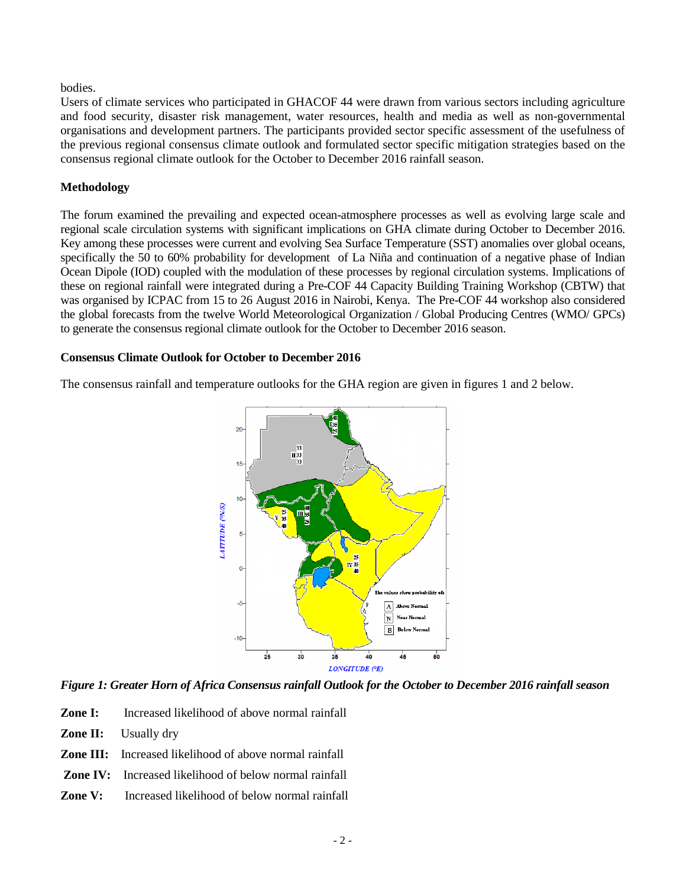#### bodies.

Users of climate services who participated in GHACOF 44 were drawn from various sectors including agriculture and food security, disaster risk management, water resources, health and media as well as non-governmental organisations and development partners. The participants provided sector specific assessment of the usefulness of the previous regional consensus climate outlook and formulated sector specific mitigation strategies based on the consensus regional climate outlook for the October to December 2016 rainfall season.

## **Methodology**

The forum examined the prevailing and expected ocean-atmosphere processes as well as evolving large scale and regional scale circulation systems with significant implications on GHA climate during October to December 2016. Key among these processes were current and evolving Sea Surface Temperature (SST) anomalies over global oceans, specifically the 50 to 60% probability for development of La Niña and continuation of a negative phase of Indian Ocean Dipole (IOD) coupled with the modulation of these processes by regional circulation systems. Implications of these on regional rainfall were integrated during a Pre-COF 44 Capacity Building Training Workshop (CBTW) that was organised by ICPAC from 15 to 26 August 2016 in Nairobi, Kenya. The Pre-COF 44 workshop also considered the global forecasts from the twelve World Meteorological Organization / Global Producing Centres (WMO/ GPCs) to generate the consensus regional climate outlook for the October to December 2016 season.

## **Consensus Climate Outlook for October to December 2016**

The consensus rainfall and temperature outlooks for the GHA region are given in figures 1 and 2 below.



## *Figure 1: Greater Horn of Africa Consensus rainfall Outlook for the October to December 2016 rainfall season*

- **Zone I:** Increased likelihood of above normal rainfall
- **Zone II:** Usually dry
- **Zone III:** Increased likelihood of above normal rainfall
- **Zone IV:** Increased likelihood of below normal rainfall
- **Zone V:** Increased likelihood of below normal rainfall